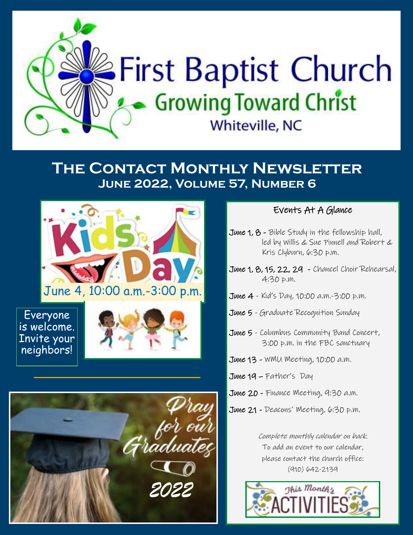

### **The Contact Monthly Newsletter June 2022, Volume 57, Number 6**



Everyone is welcome. Invite your neighbors!





### Events At A Glance

- June 1, 8 Bible Study in the fellowship hall, led by Willis & Sue Pinnell and Robert & Kris Clyburn, 6:30 p.m.
- June 1, 8, 15, 22, 29 Chancel Choir Rehearsal, 4:30 p.m.
- June 4 Kid's Day, 10:00 a.m.-3:00 p.m.
- June 5 Graduate Recognition Sunday
- June 5 Columbus Community Band Concert, 3:00 p.m. in the FBC sanctuary
- June 13 WMU Meeting, 10:00 a.m.
- June 19 Father's Day
- June 20 Finance Meeting, 9:30 a.m.
- June 21 Deacons' Meeting, 6:30 p.m.

Complete monthly calendar on back. To add an event to our calendar, please contact the church office: (910) 642-2139

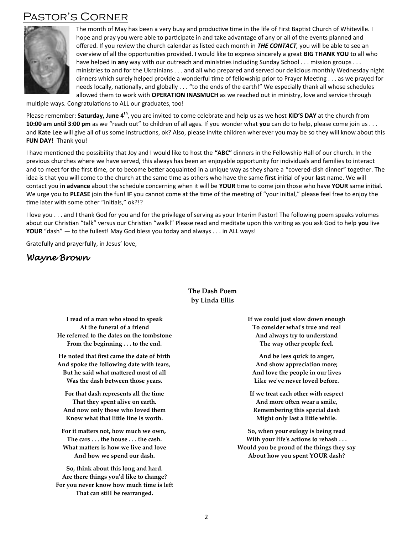### **ASTOR'S CORNER**



The month of May has been a very busy and productive time in the life of First Baptist Church of Whiteville. I hope and pray you were able to participate in and take advantage of any or all of the events planned and offered. If you review the church calendar as listed each month in THE CONTACT, you will be able to see an overview of all the opportunities provided. I would like to express sincerely a great BIG THANK YOU to all who have helped in any way with our outreach and ministries including Sunday School . . . mission groups . . . ministries to and for the Ukrainians . . . and all who prepared and served our delicious monthly Wednesday night dinners which surely helped provide a wonderful time of fellowship prior to Prayer Meeting . . . as we prayed for needs locally, nationally, and globally . . . "to the ends of the earth!" We especially thank all whose schedules allowed them to work with OPERATION INASMUCH as we reached out in ministry, love and service through

multiple ways. Congratulations to ALL our graduates, too!

Please remember: Saturday, June 4<sup>th</sup>, you are invited to come celebrate and help us as we host KID'S DAY at the church from 10:00 am until 3:00 pm as we "reach out" to children of all ages. If you wonder what you can do to help, please come join us ... and Kate Lee will give all of us some instructions, ok? Also, please invite children wherever you may be so they will know about this FUN DAY! Thank you!

I have mentioned the possibility that Joy and I would like to host the "ABC" dinners in the Fellowship Hall of our church. In the previous churches where we have served, this always has been an enjoyable opportunity for individuals and families to interact and to meet for the first time, or to become better acquainted in a unique way as they share a "covered-dish dinner" together. The idea is that you will come to the church at the same time as others who have the same first initial of your last name. We will contact you in advance about the schedule concerning when it will be YOUR time to come join those who have YOUR same initial. We urge you to PLEASE join the fun! IF you cannot come at the time of the meeting of "your initial," please feel free to enjoy the time later with some other "initials," ok?!?

I love you . . . and I thank God for you and for the privilege of serving as your Interim Pastor! The following poem speaks volumes about our Christian "talk" versus our Christian "walk!" Please read and meditate upon this writing as you ask God to help you live **YOUR** "dash" — to the fullest! May God bless you today and always . . . in ALL ways!

Gratefully and prayerfully, in Jesus' love,

#### Wayne Brown

#### The Dash Poem by Linda Ellis

I read of a man who stood to speak At the funeral of a friend He referred to the dates on the tombstone From the beginning . . . to the end.

He noted that first came the date of birth And spoke the following date with tears, But he said what mattered most of all Was the dash between those years.

For that dash represents all the time That they spent alive on earth. And now only those who loved them Know what that little line is worth.

For it matters not, how much we own, The cars . . . the house . . . the cash. What matters is how we live and love And how we spend our dash.

So, think about this long and hard. Are there things you'd like to change? For you never know how much time is left That can still be rearranged.

If we could just slow down enough To consider what's true and real And always try to understand The way other people feel.

And be less quick to anger, And show appreciation more; And love the people in our lives Like we've never loved before.

If we treat each other with respect And more often wear a smile, Remembering this special dash Might only last a little while.

So, when your eulogy is being read With your life's actions to rehash . . . Would you be proud of the things they say About how you spent YOUR dash?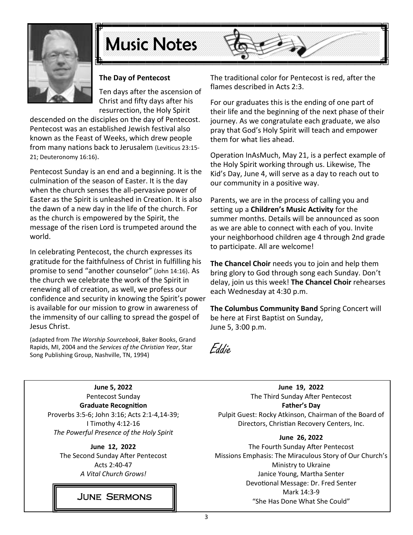

# **Music Notes**



#### The Day of Pentecost

Ten days after the ascension of Christ and fifty days after his resurrection, the Holy Spirit

descended on the disciples on the day of Pentecost. Pentecost was an established Jewish festival also known as the Feast of Weeks, which drew people from many nations back to Jerusalem (Leviticus 23:15-21; Deuteronomy 16:16).

Pentecost Sunday is an end and a beginning. It is the culmination of the season of Easter. It is the day when the church senses the all-pervasive power of Easter as the Spirit is unleashed in Creation. It is also the dawn of a new day in the life of the church. For as the church is empowered by the Spirit, the message of the risen Lord is trumpeted around the world.

In celebrating Pentecost, the church expresses its gratitude for the faithfulness of Christ in fulfilling his promise to send "another counselor" (John 14:16). As the church we celebrate the work of the Spirit in renewing all of creation, as well, we profess our confidence and security in knowing the Spirit's power is available for our mission to grow in awareness of the immensity of our calling to spread the gospel of Jesus Christ.

(adapted from The Worship Sourcebook, Baker Books, Grand Rapids, MI, 2004 and the Services of the Christian Year, Star Song Publishing Group, Nashville, TN, 1994)

The traditional color for Pentecost is red, after the flames described in Acts 2:3.

For our graduates this is the ending of one part of their life and the beginning of the next phase of their journey. As we congratulate each graduate, we also pray that God's Holy Spirit will teach and empower them for what lies ahead.

Operation InAsMuch, May 21, is a perfect example of the Holy Spirit working through us. Likewise, The Kid's Day, June 4, will serve as a day to reach out to our community in a positive way.

Parents, we are in the process of calling you and setting up a Children's Music Activity for the summer months. Details will be announced as soon as we are able to connect with each of you. Invite your neighborhood children age 4 through 2nd grade to participate. All are welcome!

The Chancel Choir needs you to join and help them bring glory to God through song each Sunday. Don't delay, join us this week! The Chancel Choir rehearses each Wednesday at 4:30 p.m.

The Columbus Community Band Spring Concert will be here at First Baptist on Sunday, June 5, 3:00 p.m.

Eddie.

June 5, 2022 Pentecost Sunday **Graduate Recognition** Proverbs 3:5-6; John 3:16; Acts 2:1-4,14-39; I Timothy 4:12-16 The Powerful Presence of the Holy Spirit

June 12, 2022 The Second Sunday After Pentecost Acts 2:40-47 A Vital Church Grows!

June 19, 2022 The Third Sunday After Pentecost **Father's Day** Pulpit Guest: Rocky Atkinson, Chairman of the Board of Directors, Christian Recovery Centers, Inc.

#### June 26, 2022

The Fourth Sunday After Pentecost Missions Emphasis: The Miraculous Story of Our Church's Ministry to Ukraine Janice Young, Martha Senter Devotional Message: Dr. Fred Senter Mark 14:3-9 "She Has Done What She Could"

**JUNE SERMONS**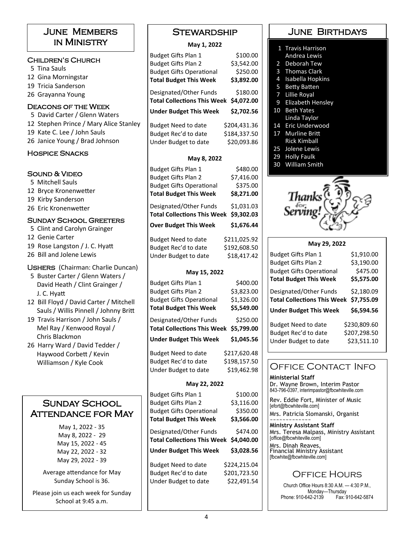#### June Members in Ministry

#### Children's Church

5 Tina Sauls 12 Gina Morningstar 19 Tricia Sanderson 26 Gravanna Young Deacons of the Week

- 5 David Carter / Glenn Waters 12 Stephen Prince / Mary Alice Stanley 19 Kate C. Lee / John Sauls
- 26 Janice Young / Brad Johnson

#### Hospice Snacks

#### SOUND & VIDEO

5 Mitchell Sauls 12 Brvce Kronenwetter 19 Kirby Sanderson 26 Eric Kronenwetter

#### Sunday School Greeters

- 5 Clint and Carolyn Grainger
- 12 Genie Carter
- 19 Rose Langston / J. C. Hyatt
- 26 Bill and Jolene Lewis

#### USHERS (Chairman: Charlie Duncan)

- 5 Buster Carter / Glenn Waters / David Heath / Clint Grainger / J. C. Hyatt
- 12 Bill Floyd / David Carter / Mitchell Sauls / Willis Pinnell / Johnny Britt
- 19 Travis Harrison / John Sauls / Mel Ray / Kenwood Royal / Chris Blackmon
- 26 Harry Ward / David Tedder / Haywood Corbett / Kevin

#### SUNDAY SCHOOL Attendance for May

May 1, 2022 - 35 May 8, 2022 - 29 May 15, 2022 - 45 May 22, 2022 - 32 May 29, 2022 - 39

Average attendance for May Sunday School is 36.

Please join us each week for Sunday School at 9:45 a.m.

#### **May ヱ, ヲヰヲヲ**

| IVIAY 1, ZUZZ                      |              |
|------------------------------------|--------------|
| Budget Gifts Plan 1                | \$100.00     |
| <b>Budget Gifts Plan 2</b>         | \$3,542.00   |
| <b>Budget Gifts Operational</b>    | \$250.00     |
| <b>Total Budget This Week</b>      | \$3,892.00   |
| Designated/Other Funds             | \$180.00     |
| <b>Total Collections This Week</b> | \$4,072.00   |
| <b>Under Budget This Week</b>      | \$2,702.56   |
| <b>Budget Need to date</b>         | \$204,431.36 |
| Budget Rec'd to date               | \$184,337.50 |
| Under Budget to date               | \$20,093.86  |
| May 8, 2022                        |              |
| Budget Gifts Plan 1                | \$480.00     |
| <b>Budget Gifts Plan 2</b>         | \$7,416.00   |
| <b>Budget Gifts Operational</b>    | \$375.00     |
| <b>Total Budget This Week</b>      | \$8,271.00   |
| Designated/Other Funds             | \$1,031.03   |
| <b>Total Collections This Week</b> | \$9,302.03   |
| <b>Over Budget This Week</b>       | \$1,676.44   |
| <b>Budget Need to date</b>         | \$211,025.92 |
| Budget Rec'd to date               | \$192,608.50 |
| Under Budget to date               | \$18,417.42  |
| May 15, 2022                       |              |
| Budget Gifts Plan 1                | \$400.00     |
| <b>Budget Gifts Plan 2</b>         | \$3,823.00   |
| <b>Budget Gifts Operational</b>    | \$1,326.00   |
| <b>Total Budget This Week</b>      | \$5,549.00   |
| Designated/Other Funds             | \$250.00     |
| <b>Total Collections This Week</b> | \$5,799.00   |

**Under Budget This Week \$1,045.56** 

| Haywood Corbett / Kevin | Budget Need to date  | \$217,620.48 |                            |
|-------------------------|----------------------|--------------|----------------------------|
| Williamson / Kyle Cook  | Budget Rec'd to date | \$198,157.50 | <b>OFFICE CONTACT INFO</b> |
|                         | Under Budget to date | \$19,462.98  |                            |

#### **May ヲヲ, ヲヰヲヲ**

| IVIAV LL, LULL                     |              |
|------------------------------------|--------------|
| <b>Budget Gifts Plan 1</b>         | \$100.00     |
| <b>Budget Gifts Plan 2</b>         | \$3,116.00   |
| <b>Budget Gifts Operational</b>    | \$350.00     |
| <b>Total Budget This Week</b>      | \$3,566.00   |
| Designated/Other Funds             | \$474.00     |
| <b>Total Collections This Week</b> | \$4.040.00   |
| <b>Under Budget This Week</b>      | \$3,028.56   |
| <b>Budget Need to date</b>         | \$224,215.04 |
| Budget Rec'd to date               | \$201,723.50 |
| Under Budget to date               | \$22,491.54  |
|                                    |              |

#### June Birthdays

- 1 Travis Harrison
- **Andrea Lewis**
- 2 Deborah Tew 3 Thomas Clark
- 
- 4 Isabella Hopkins 5 Betty Batten
- 7 Lillie Royal
- 
- **9** Elizabeth Hensley 10 Beth Yates
- Linda Taylor
- 14 Eric Underwood
- 17 Murline Britt **Rick Kimball**
- 25 Jolene Lewis
- 29 Holly Faulk
- 30 William Smith



| May 29, 2022                                     |              |  |  |  |
|--------------------------------------------------|--------------|--|--|--|
| Budget Gifts Plan 1                              | \$1,910.00   |  |  |  |
| <b>Budget Gifts Plan 2</b>                       | \$3,190.00   |  |  |  |
| <b>Budget Gifts Operational</b>                  | \$475.00     |  |  |  |
| <b>Total Budget This Week</b>                    | \$5,575.00   |  |  |  |
| Designated/Other Funds                           | \$2,180.09   |  |  |  |
| <b>Total Collections This Week</b><br>\$7,755.09 |              |  |  |  |
| <b>Under Budget This Week</b>                    | \$6,594.56   |  |  |  |
| <b>Budget Need to date</b>                       | \$230,809.60 |  |  |  |
| Budget Rec'd to date                             | \$207,298.50 |  |  |  |
| Under Budget to date                             | \$23,511.10  |  |  |  |

#### **Ministerial Staff**

Dr. Wayne Brown, Interim Pastor 843-796-0397, interimpastor@fbcwhiteville.com

Rev. Eddie Fort, Minister of Music [efort@fbcwhiteville.com]

Mrs. Patricia Slomanski, Organist

~~~~~~~~~~~~~ **Ministry Assistant Staff** Mrs. Teresa Malpass, Ministry Assistant [office@fbcwhiteville.com]

Mrs. Dinah Reaves, Financial Ministry Assistant [fbcwhite@fbcwhiteville.com]

### Office Hours

Church Office Hours 8:30 A.M. — 4:30 P.M., Monday—Thursday<br>642-2139 Fax: 910-642-5874 Phone: 910-642-2139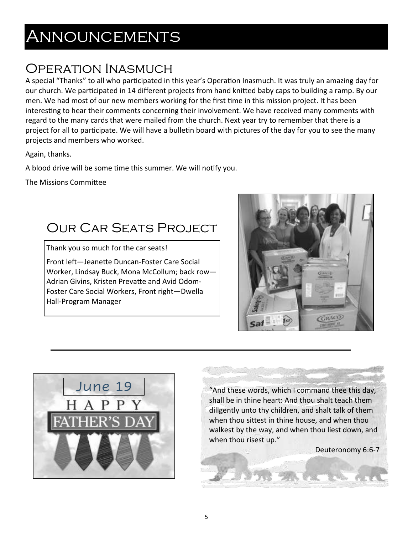# ANNOUNCEMENTS

## **OPERATION INASMUCH**

A special "Thanks" to all who participated in this year's Operation Inasmuch. It was truly an amazing day for our church. We participated in 14 different projects from hand knitted baby caps to building a ramp. By our men. We had most of our new members working for the first time in this mission project. It has been interesting to hear their comments concerning their involvement. We have received many comments with regard to the many cards that were mailed from the church. Next year try to remember that there is a project for all to participate. We will have a bulletin board with pictures of the day for you to see the many projects and members who worked.

Again, thanks.

A blood drive will be some time this summer. We will notify you.

The Missions Committee

### **OUR CAR SEATS PROJECT**

Thank you so much for the car seats! Front left-Jeanette Duncan-Foster Care Social Worker, Lindsay Buck, Mona McCollum; back row-Adrian Givins, Kristen Prevatte and Avid Odom-Foster Care Social Workers, Front right-Dwella Hall-Program Manager





"And these words, which I command thee this day, shall be in thine heart: And thou shalt teach them diligently unto thy children, and shalt talk of them when thou sittest in thine house, and when thou walkest by the way, and when thou liest down, and when thou risest up."

Deuteronomy 6:6-7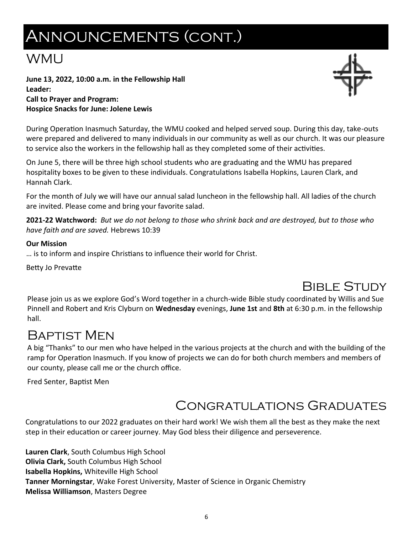# **ANNOUNCEMENTS (CONT.)**

### **WMU**

June 13, 2022, 10:00 a.m. in the Fellowship Hall Leader: **Call to Prayer and Program: Hospice Snacks for June: Jolene Lewis** 

During Operation Inasmuch Saturday, the WMU cooked and helped served soup. During this day, take-outs were prepared and delivered to many individuals in our community as well as our church. It was our pleasure to service also the workers in the fellowship hall as they completed some of their activities.

On June 5, there will be three high school students who are graduating and the WMU has prepared hospitality boxes to be given to these individuals. Congratulations Isabella Hopkins, Lauren Clark, and Hannah Clark.

For the month of July we will have our annual salad luncheon in the fellowship hall. All ladies of the church are invited. Please come and bring your favorite salad.

2021-22 Watchword: But we do not belong to those who shrink back and are destroyed, but to those who have faith and are saved. Hebrews 10:39

#### **Our Mission**

... is to inform and inspire Christians to influence their world for Christ.

Betty Jo Prevatte

## **BIBLE STUDY**

Please join us as we explore God's Word together in a church-wide Bible study coordinated by Willis and Sue Pinnell and Robert and Kris Clyburn on Wednesday evenings, June 1st and 8th at 6:30 p.m. in the fellowship hall.

### **BAPTIST MEN**

A big "Thanks" to our men who have helped in the various projects at the church and with the building of the ramp for Operation Inasmuch. If you know of projects we can do for both church members and members of our county, please call me or the church office.

Fred Senter, Baptist Men

## **CONGRATULATIONS GRADUATES**

Congratulations to our 2022 graduates on their hard work! We wish them all the best as they make the next step in their education or career journey. May God bless their diligence and perseverence.

Lauren Clark, South Columbus High School **Olivia Clark, South Columbus High School** Isabella Hopkins, Whiteville High School Tanner Morningstar, Wake Forest University, Master of Science in Organic Chemistry **Melissa Williamson, Masters Degree** 

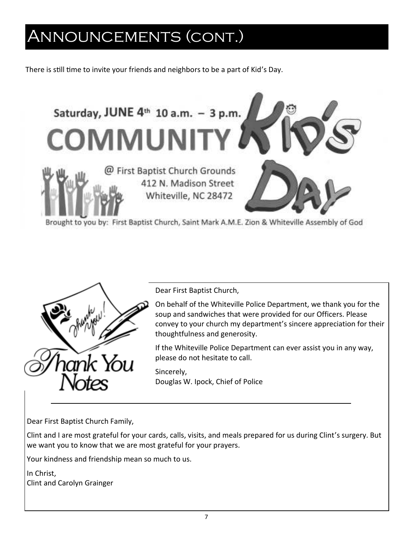# ANNOUNCEMENTS (CONT.)

There is still time to invite your friends and neighbors to be a part of Kid's Day.





Dear First Baptist Church,

On behalf of the Whiteville Police Department, we thank you for the soup and sandwiches that were provided for our Officers. Please convey to your church my department's sincere appreciation for their thoughtfulness and generosity.

If the Whiteville Police Department can ever assist you in any way, please do not hesitate to call.

Sincerely, Douglas W. Ipock, Chief of Police

Dear First Baptist Church Family,

Clint and I are most grateful for your cards, calls, visits, and meals prepared for us during Clint's surgery. But we want you to know that we are most grateful for your prayers.

Your kindness and friendship mean so much to us.

In Christ. **Clint and Carolyn Grainger**